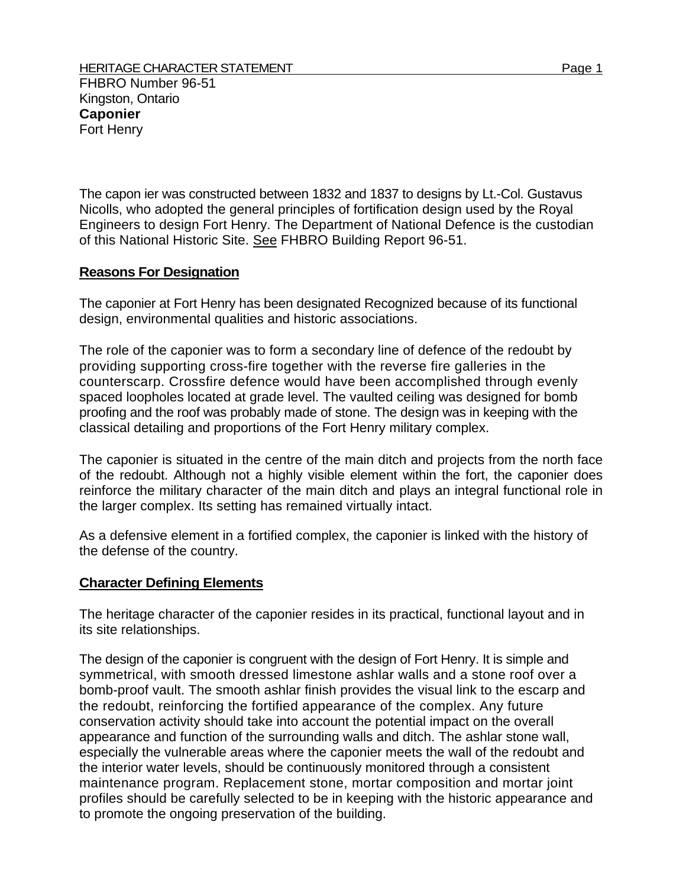FHBRO Number 96-51 Kingston, Ontario **Caponier**  Fort Henry

The capon ier was constructed between 1832 and 1837 to designs by Lt.-Col. Gustavus Nicolls, who adopted the general principles of fortification design used by the Royal Engineers to design Fort Henry. The Department of National Defence is the custodian of this National Historic Site. See FHBRO Building Report 96-51.

## **Reasons For Designation**

The caponier at Fort Henry has been designated Recognized because of its functional design, environmental qualities and historic associations.

The role of the caponier was to form a secondary line of defence of the redoubt by providing supporting cross-fire together with the reverse fire galleries in the counterscarp. Crossfire defence would have been accomplished through evenly spaced loopholes located at grade level. The vaulted ceiling was designed for bomb proofing and the roof was probably made of stone. The design was in keeping with the classical detailing and proportions of the Fort Henry military complex.

The caponier is situated in the centre of the main ditch and projects from the north face of the redoubt. Although not a highly visible element within the fort, the caponier does reinforce the military character of the main ditch and plays an integral functional role in the larger complex. Its setting has remained virtually intact.

As a defensive element in a fortified complex, the caponier is linked with the history of the defense of the country.

## **Character Defining Elements**

The heritage character of the caponier resides in its practical, functional layout and in its site relationships.

The design of the caponier is congruent with the design of Fort Henry. It is simple and symmetrical, with smooth dressed limestone ashlar walls and a stone roof over a bomb-proof vault. The smooth ashlar finish provides the visual link to the escarp and the redoubt, reinforcing the fortified appearance of the complex. Any future conservation activity should take into account the potential impact on the overall appearance and function of the surrounding walls and ditch. The ashlar stone wall, especially the vulnerable areas where the caponier meets the wall of the redoubt and the interior water levels, should be continuously monitored through a consistent maintenance program. Replacement stone, mortar composition and mortar joint profiles should be carefully selected to be in keeping with the historic appearance and to promote the ongoing preservation of the building.